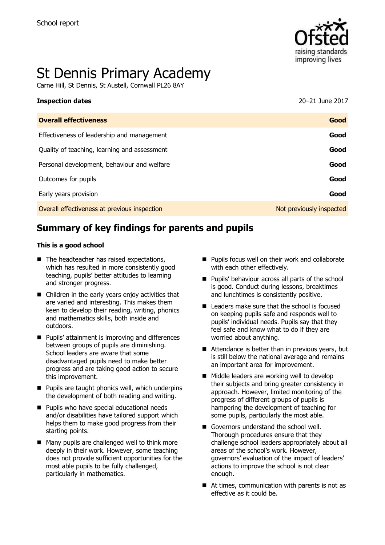

# St Dennis Primary Academy

Carne Hill, St Dennis, St Austell, Cornwall PL26 8AY

| <b>Inspection dates</b>                      | 20-21 June 2017          |
|----------------------------------------------|--------------------------|
| <b>Overall effectiveness</b>                 | Good                     |
| Effectiveness of leadership and management   | Good                     |
| Quality of teaching, learning and assessment | Good                     |
| Personal development, behaviour and welfare  | Good                     |
| Outcomes for pupils                          | Good                     |
| Early years provision                        | Good                     |
| Overall effectiveness at previous inspection | Not previously inspected |

# **Summary of key findings for parents and pupils**

#### **This is a good school**

- The headteacher has raised expectations, which has resulted in more consistently good teaching, pupils' better attitudes to learning and stronger progress.
- Children in the early years enjoy activities that are varied and interesting. This makes them keen to develop their reading, writing, phonics and mathematics skills, both inside and outdoors.
- **Pupils' attainment is improving and differences** between groups of pupils are diminishing. School leaders are aware that some disadvantaged pupils need to make better progress and are taking good action to secure this improvement.
- $\blacksquare$  Pupils are taught phonics well, which underpins the development of both reading and writing.
- **Pupils who have special educational needs** and/or disabilities have tailored support which helps them to make good progress from their starting points.
- Many pupils are challenged well to think more deeply in their work. However, some teaching does not provide sufficient opportunities for the most able pupils to be fully challenged, particularly in mathematics.
- **Pupils focus well on their work and collaborate** with each other effectively.
- **Pupils' behaviour across all parts of the school** is good. Conduct during lessons, breaktimes and lunchtimes is consistently positive.
- $\blacksquare$  Leaders make sure that the school is focused on keeping pupils safe and responds well to pupils' individual needs. Pupils say that they feel safe and know what to do if they are worried about anything.
- Attendance is better than in previous vears, but is still below the national average and remains an important area for improvement.
- Middle leaders are working well to develop their subjects and bring greater consistency in approach. However, limited monitoring of the progress of different groups of pupils is hampering the development of teaching for some pupils, particularly the most able.
- Governors understand the school well. Thorough procedures ensure that they challenge school leaders appropriately about all areas of the school's work. However, governors' evaluation of the impact of leaders' actions to improve the school is not clear enough.
- At times, communication with parents is not as effective as it could be.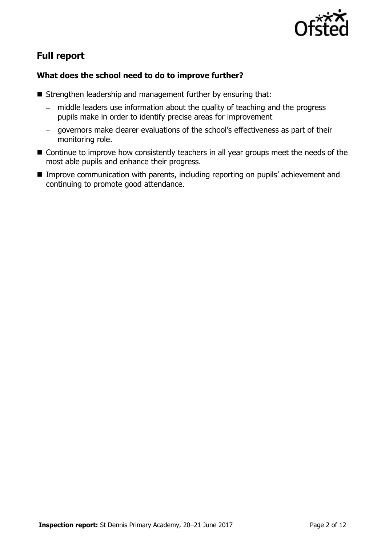

## **Full report**

## **What does the school need to do to improve further?**

- Strengthen leadership and management further by ensuring that:
	- middle leaders use information about the quality of teaching and the progress pupils make in order to identify precise areas for improvement
	- governors make clearer evaluations of the school's effectiveness as part of their monitoring role.
- Continue to improve how consistently teachers in all year groups meet the needs of the most able pupils and enhance their progress.
- **Improve communication with parents, including reporting on pupils' achievement and** continuing to promote good attendance.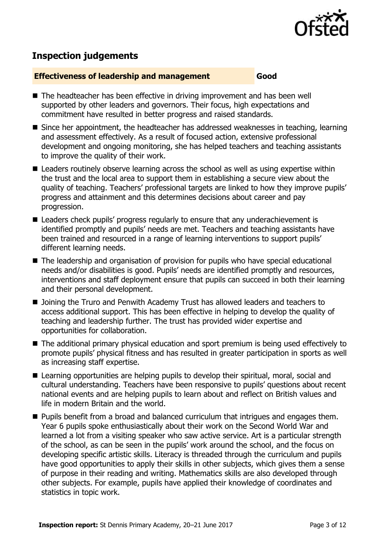

## **Inspection judgements**

#### **Effectiveness of leadership and management Good**

- The headteacher has been effective in driving improvement and has been well supported by other leaders and governors. Their focus, high expectations and commitment have resulted in better progress and raised standards.
- Since her appointment, the headteacher has addressed weaknesses in teaching, learning and assessment effectively. As a result of focused action, extensive professional development and ongoing monitoring, she has helped teachers and teaching assistants to improve the quality of their work.
- Leaders routinely observe learning across the school as well as using expertise within the trust and the local area to support them in establishing a secure view about the quality of teaching. Teachers' professional targets are linked to how they improve pupils' progress and attainment and this determines decisions about career and pay progression.
- Leaders check pupils' progress regularly to ensure that any underachievement is identified promptly and pupils' needs are met. Teachers and teaching assistants have been trained and resourced in a range of learning interventions to support pupils' different learning needs.
- The leadership and organisation of provision for pupils who have special educational needs and/or disabilities is good. Pupils' needs are identified promptly and resources, interventions and staff deployment ensure that pupils can succeed in both their learning and their personal development.
- Joining the Truro and Penwith Academy Trust has allowed leaders and teachers to access additional support. This has been effective in helping to develop the quality of teaching and leadership further. The trust has provided wider expertise and opportunities for collaboration.
- The additional primary physical education and sport premium is being used effectively to promote pupils' physical fitness and has resulted in greater participation in sports as well as increasing staff expertise.
- Learning opportunities are helping pupils to develop their spiritual, moral, social and cultural understanding. Teachers have been responsive to pupils' questions about recent national events and are helping pupils to learn about and reflect on British values and life in modern Britain and the world.
- **Pupils benefit from a broad and balanced curriculum that intriques and engages them.** Year 6 pupils spoke enthusiastically about their work on the Second World War and learned a lot from a visiting speaker who saw active service. Art is a particular strength of the school, as can be seen in the pupils' work around the school, and the focus on developing specific artistic skills. Literacy is threaded through the curriculum and pupils have good opportunities to apply their skills in other subjects, which gives them a sense of purpose in their reading and writing. Mathematics skills are also developed through other subjects. For example, pupils have applied their knowledge of coordinates and statistics in topic work.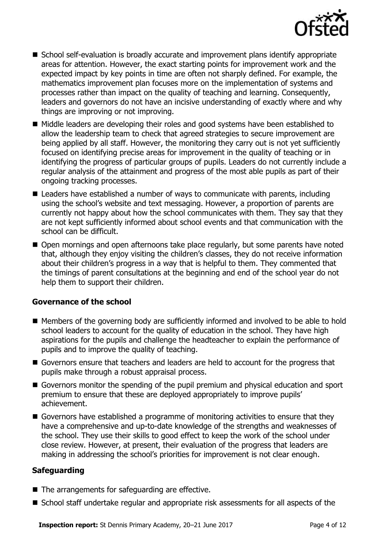

- School self-evaluation is broadly accurate and improvement plans identify appropriate areas for attention. However, the exact starting points for improvement work and the expected impact by key points in time are often not sharply defined. For example, the mathematics improvement plan focuses more on the implementation of systems and processes rather than impact on the quality of teaching and learning. Consequently, leaders and governors do not have an incisive understanding of exactly where and why things are improving or not improving.
- Middle leaders are developing their roles and good systems have been established to allow the leadership team to check that agreed strategies to secure improvement are being applied by all staff. However, the monitoring they carry out is not yet sufficiently focused on identifying precise areas for improvement in the quality of teaching or in identifying the progress of particular groups of pupils. Leaders do not currently include a regular analysis of the attainment and progress of the most able pupils as part of their ongoing tracking processes.
- Leaders have established a number of ways to communicate with parents, including using the school's website and text messaging. However, a proportion of parents are currently not happy about how the school communicates with them. They say that they are not kept sufficiently informed about school events and that communication with the school can be difficult.
- Open mornings and open afternoons take place regularly, but some parents have noted that, although they enjoy visiting the children's classes, they do not receive information about their children's progress in a way that is helpful to them. They commented that the timings of parent consultations at the beginning and end of the school year do not help them to support their children.

### **Governance of the school**

- Members of the governing body are sufficiently informed and involved to be able to hold school leaders to account for the quality of education in the school. They have high aspirations for the pupils and challenge the headteacher to explain the performance of pupils and to improve the quality of teaching.
- Governors ensure that teachers and leaders are held to account for the progress that pupils make through a robust appraisal process.
- Governors monitor the spending of the pupil premium and physical education and sport premium to ensure that these are deployed appropriately to improve pupils' achievement.
- Governors have established a programme of monitoring activities to ensure that they have a comprehensive and up-to-date knowledge of the strengths and weaknesses of the school. They use their skills to good effect to keep the work of the school under close review. However, at present, their evaluation of the progress that leaders are making in addressing the school's priorities for improvement is not clear enough.

### **Safeguarding**

- The arrangements for safeguarding are effective.
- School staff undertake regular and appropriate risk assessments for all aspects of the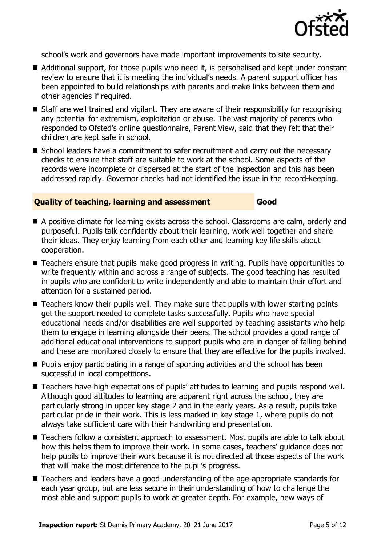

school's work and governors have made important improvements to site security.

- Additional support, for those pupils who need it, is personalised and kept under constant review to ensure that it is meeting the individual's needs. A parent support officer has been appointed to build relationships with parents and make links between them and other agencies if required.
- Staff are well trained and vigilant. They are aware of their responsibility for recognising any potential for extremism, exploitation or abuse. The vast majority of parents who responded to Ofsted's online questionnaire, Parent View, said that they felt that their children are kept safe in school.
- School leaders have a commitment to safer recruitment and carry out the necessary checks to ensure that staff are suitable to work at the school. Some aspects of the records were incomplete or dispersed at the start of the inspection and this has been addressed rapidly. Governor checks had not identified the issue in the record-keeping.

#### **Quality of teaching, learning and assessment Good**

- A positive climate for learning exists across the school. Classrooms are calm, orderly and purposeful. Pupils talk confidently about their learning, work well together and share their ideas. They enjoy learning from each other and learning key life skills about cooperation.
- Teachers ensure that pupils make good progress in writing. Pupils have opportunities to write frequently within and across a range of subjects. The good teaching has resulted in pupils who are confident to write independently and able to maintain their effort and attention for a sustained period.
- $\blacksquare$  Teachers know their pupils well. They make sure that pupils with lower starting points get the support needed to complete tasks successfully. Pupils who have special educational needs and/or disabilities are well supported by teaching assistants who help them to engage in learning alongside their peers. The school provides a good range of additional educational interventions to support pupils who are in danger of falling behind and these are monitored closely to ensure that they are effective for the pupils involved.
- **Pupils enjoy participating in a range of sporting activities and the school has been** successful in local competitions.
- Teachers have high expectations of pupils' attitudes to learning and pupils respond well. Although good attitudes to learning are apparent right across the school, they are particularly strong in upper key stage 2 and in the early years. As a result, pupils take particular pride in their work. This is less marked in key stage 1, where pupils do not always take sufficient care with their handwriting and presentation.
- Teachers follow a consistent approach to assessment. Most pupils are able to talk about how this helps them to improve their work. In some cases, teachers' guidance does not help pupils to improve their work because it is not directed at those aspects of the work that will make the most difference to the pupil's progress.
- Teachers and leaders have a good understanding of the age-appropriate standards for each year group, but are less secure in their understanding of how to challenge the most able and support pupils to work at greater depth. For example, new ways of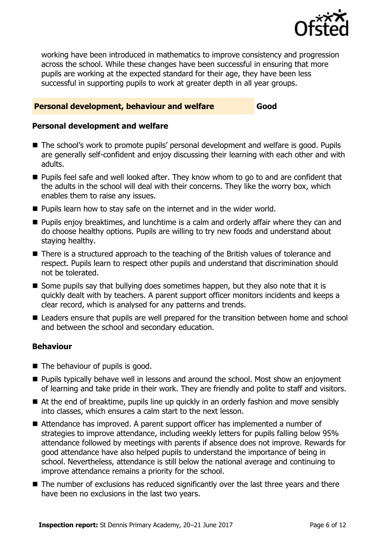

working have been introduced in mathematics to improve consistency and progression across the school. While these changes have been successful in ensuring that more pupils are working at the expected standard for their age, they have been less successful in supporting pupils to work at greater depth in all year groups.

### **Personal development, behaviour and welfare Good**

#### **Personal development and welfare**

- The school's work to promote pupils' personal development and welfare is good. Pupils are generally self-confident and enjoy discussing their learning with each other and with adults.
- **Pupils feel safe and well looked after. They know whom to go to and are confident that** the adults in the school will deal with their concerns. They like the worry box, which enables them to raise any issues.
- **Pupils learn how to stay safe on the internet and in the wider world.**
- **Pupils enjoy breaktimes, and lunchtime is a calm and orderly affair where they can and** do choose healthy options. Pupils are willing to try new foods and understand about staying healthy.
- There is a structured approach to the teaching of the British values of tolerance and respect. Pupils learn to respect other pupils and understand that discrimination should not be tolerated.
- Some pupils say that bullying does sometimes happen, but they also note that it is quickly dealt with by teachers. A parent support officer monitors incidents and keeps a clear record, which is analysed for any patterns and trends.
- Leaders ensure that pupils are well prepared for the transition between home and school and between the school and secondary education.

### **Behaviour**

- The behaviour of pupils is good.
- **Pupils typically behave well in lessons and around the school. Most show an enjoyment** of learning and take pride in their work. They are friendly and polite to staff and visitors.
- At the end of breaktime, pupils line up quickly in an orderly fashion and move sensibly into classes, which ensures a calm start to the next lesson.
- Attendance has improved. A parent support officer has implemented a number of strategies to improve attendance, including weekly letters for pupils falling below 95% attendance followed by meetings with parents if absence does not improve. Rewards for good attendance have also helped pupils to understand the importance of being in school. Nevertheless, attendance is still below the national average and continuing to improve attendance remains a priority for the school.
- The number of exclusions has reduced significantly over the last three years and there have been no exclusions in the last two years.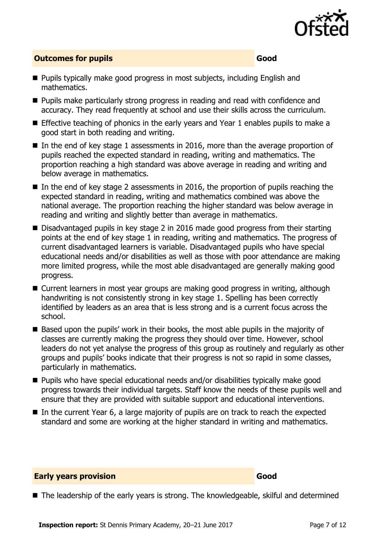

### **Outcomes for pupils Good**

- **Pupils typically make good progress in most subjects, including English and** mathematics.
- **Pupils make particularly strong progress in reading and read with confidence and** accuracy. They read frequently at school and use their skills across the curriculum.
- **Effective teaching of phonics in the early years and Year 1 enables pupils to make a** good start in both reading and writing.
- In the end of key stage 1 assessments in 2016, more than the average proportion of pupils reached the expected standard in reading, writing and mathematics. The proportion reaching a high standard was above average in reading and writing and below average in mathematics.
- In the end of key stage 2 assessments in 2016, the proportion of pupils reaching the expected standard in reading, writing and mathematics combined was above the national average. The proportion reaching the higher standard was below average in reading and writing and slightly better than average in mathematics.
- Disadvantaged pupils in key stage 2 in 2016 made good progress from their starting points at the end of key stage 1 in reading, writing and mathematics. The progress of current disadvantaged learners is variable. Disadvantaged pupils who have special educational needs and/or disabilities as well as those with poor attendance are making more limited progress, while the most able disadvantaged are generally making good progress.
- Current learners in most year groups are making good progress in writing, although handwriting is not consistently strong in key stage 1. Spelling has been correctly identified by leaders as an area that is less strong and is a current focus across the school.
- Based upon the pupils' work in their books, the most able pupils in the majority of classes are currently making the progress they should over time. However, school leaders do not yet analyse the progress of this group as routinely and regularly as other groups and pupils' books indicate that their progress is not so rapid in some classes, particularly in mathematics.
- Pupils who have special educational needs and/or disabilities typically make good progress towards their individual targets. Staff know the needs of these pupils well and ensure that they are provided with suitable support and educational interventions.
- $\blacksquare$  In the current Year 6, a large majority of pupils are on track to reach the expected standard and some are working at the higher standard in writing and mathematics.

### **Early years provision Good Good**

■ The leadership of the early years is strong. The knowledgeable, skilful and determined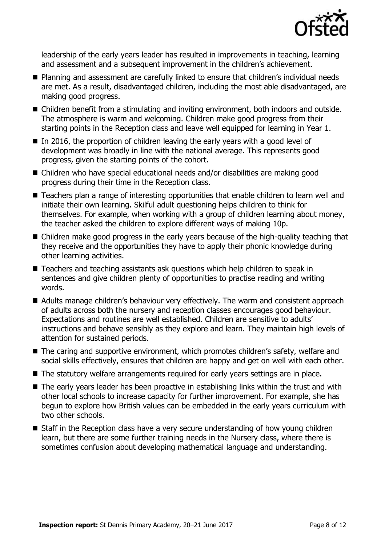

leadership of the early years leader has resulted in improvements in teaching, learning and assessment and a subsequent improvement in the children's achievement.

- Planning and assessment are carefully linked to ensure that children's individual needs are met. As a result, disadvantaged children, including the most able disadvantaged, are making good progress.
- Children benefit from a stimulating and inviting environment, both indoors and outside. The atmosphere is warm and welcoming. Children make good progress from their starting points in the Reception class and leave well equipped for learning in Year 1.
- $\blacksquare$  In 2016, the proportion of children leaving the early years with a good level of development was broadly in line with the national average. This represents good progress, given the starting points of the cohort.
- Children who have special educational needs and/or disabilities are making good progress during their time in the Reception class.
- Teachers plan a range of interesting opportunities that enable children to learn well and initiate their own learning. Skilful adult questioning helps children to think for themselves. For example, when working with a group of children learning about money, the teacher asked the children to explore different ways of making 10p.
- Children make good progress in the early years because of the high-quality teaching that they receive and the opportunities they have to apply their phonic knowledge during other learning activities.
- Teachers and teaching assistants ask questions which help children to speak in sentences and give children plenty of opportunities to practise reading and writing words.
- Adults manage children's behaviour very effectively. The warm and consistent approach of adults across both the nursery and reception classes encourages good behaviour. Expectations and routines are well established. Children are sensitive to adults' instructions and behave sensibly as they explore and learn. They maintain high levels of attention for sustained periods.
- The caring and supportive environment, which promotes children's safety, welfare and social skills effectively, ensures that children are happy and get on well with each other.
- The statutory welfare arrangements required for early years settings are in place.
- The early years leader has been proactive in establishing links within the trust and with other local schools to increase capacity for further improvement. For example, she has begun to explore how British values can be embedded in the early years curriculum with two other schools.
- Staff in the Reception class have a very secure understanding of how young children learn, but there are some further training needs in the Nursery class, where there is sometimes confusion about developing mathematical language and understanding.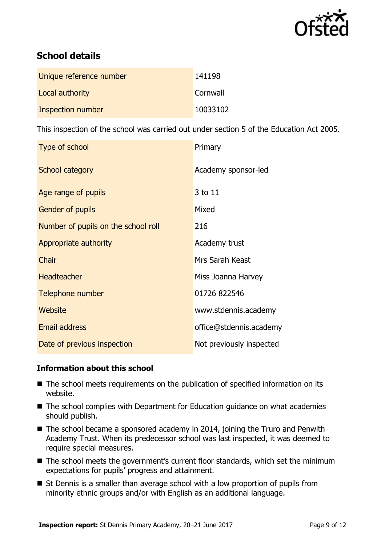

## **School details**

| Unique reference number | 141198   |
|-------------------------|----------|
| Local authority         | Cornwall |
| Inspection number       | 10033102 |

This inspection of the school was carried out under section 5 of the Education Act 2005.

| Type of school                      | Primary                  |
|-------------------------------------|--------------------------|
| School category                     | Academy sponsor-led      |
| Age range of pupils                 | 3 to 11                  |
| Gender of pupils                    | Mixed                    |
| Number of pupils on the school roll | 216                      |
| Appropriate authority               | Academy trust            |
| Chair                               | Mrs Sarah Keast          |
| <b>Headteacher</b>                  | Miss Joanna Harvey       |
| Telephone number                    | 01726 822546             |
| Website                             | www.stdennis.academy     |
| <b>Email address</b>                | office@stdennis.academy  |
| Date of previous inspection         | Not previously inspected |

### **Information about this school**

- The school meets requirements on the publication of specified information on its website.
- The school complies with Department for Education guidance on what academies should publish.
- The school became a sponsored academy in 2014, joining the Truro and Penwith Academy Trust. When its predecessor school was last inspected, it was deemed to require special measures.
- The school meets the government's current floor standards, which set the minimum expectations for pupils' progress and attainment.
- St Dennis is a smaller than average school with a low proportion of pupils from minority ethnic groups and/or with English as an additional language.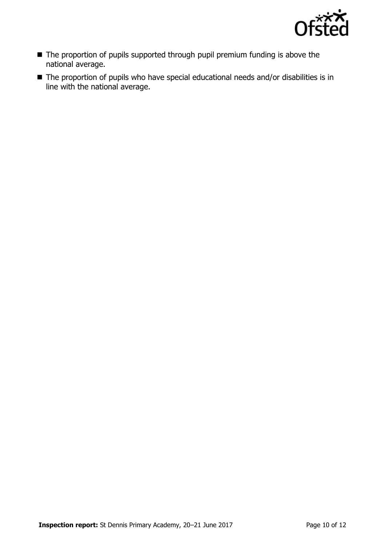

- The proportion of pupils supported through pupil premium funding is above the national average.
- The proportion of pupils who have special educational needs and/or disabilities is in line with the national average.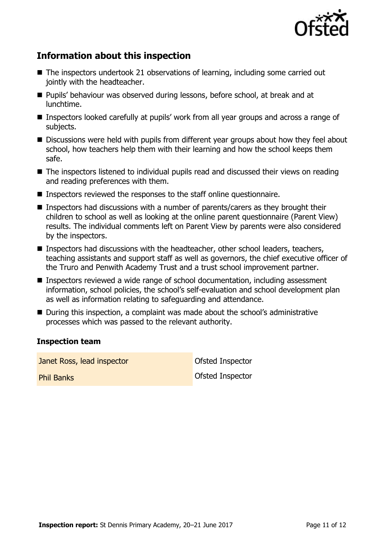

## **Information about this inspection**

- The inspectors undertook 21 observations of learning, including some carried out jointly with the headteacher.
- **Pupils' behaviour was observed during lessons, before school, at break and at** lunchtime.
- Inspectors looked carefully at pupils' work from all year groups and across a range of subjects.
- Discussions were held with pupils from different year groups about how they feel about school, how teachers help them with their learning and how the school keeps them safe.
- The inspectors listened to individual pupils read and discussed their views on reading and reading preferences with them.
- Inspectors reviewed the responses to the staff online questionnaire.
- Inspectors had discussions with a number of parents/carers as they brought their children to school as well as looking at the online parent questionnaire (Parent View) results. The individual comments left on Parent View by parents were also considered by the inspectors.
- **Inspectors had discussions with the headteacher, other school leaders, teachers,** teaching assistants and support staff as well as governors, the chief executive officer of the Truro and Penwith Academy Trust and a trust school improvement partner.
- Inspectors reviewed a wide range of school documentation, including assessment information, school policies, the school's self-evaluation and school development plan as well as information relating to safeguarding and attendance.
- During this inspection, a complaint was made about the school's administrative processes which was passed to the relevant authority.

#### **Inspection team**

**Janet Ross, lead inspector Constanting Constanting Inspector Phil Banks Ofsted Inspector**